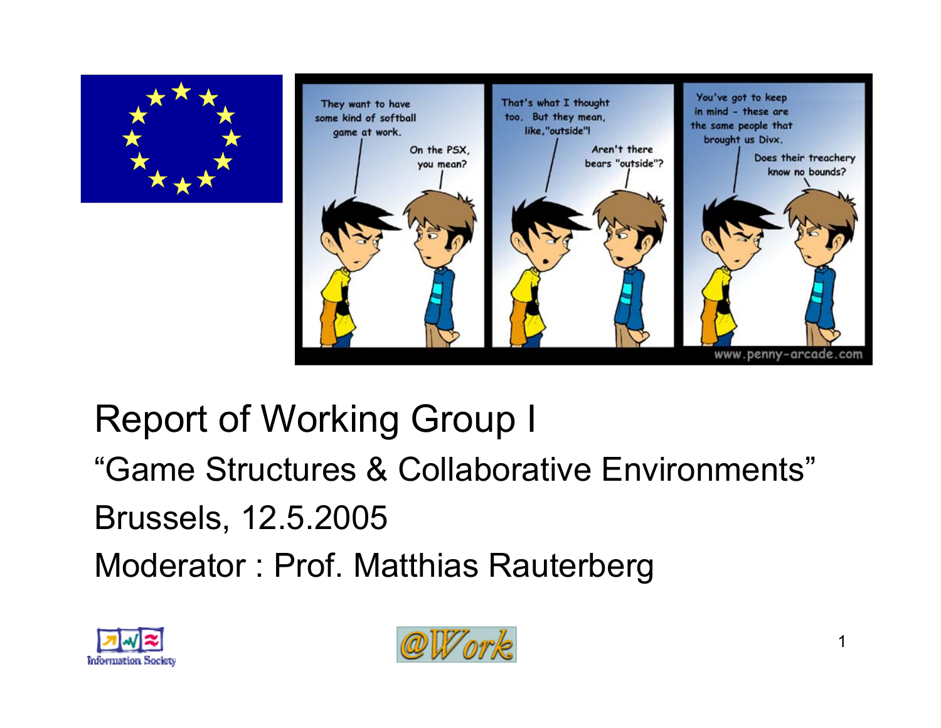



# Report of Working Group I "Game Structures & Collaborative Environments" Brussels, 12.5.2005 Moderator : Prof. Matthias Rauterberg



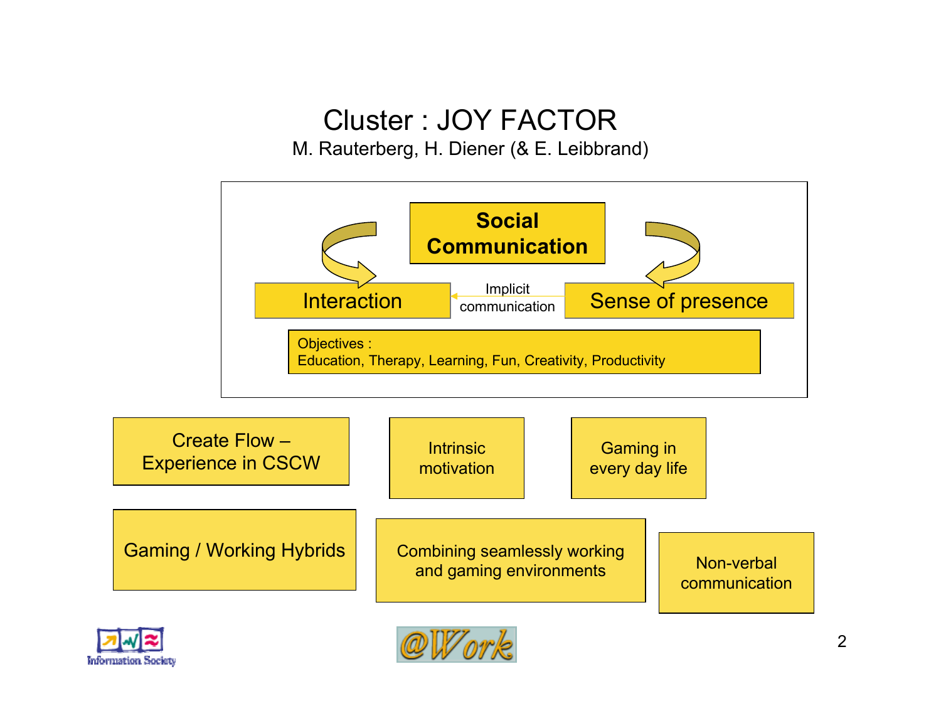### Cluster : JOY FACTOR

M. Rauterberg, H. Diener (& E. Leibbrand)

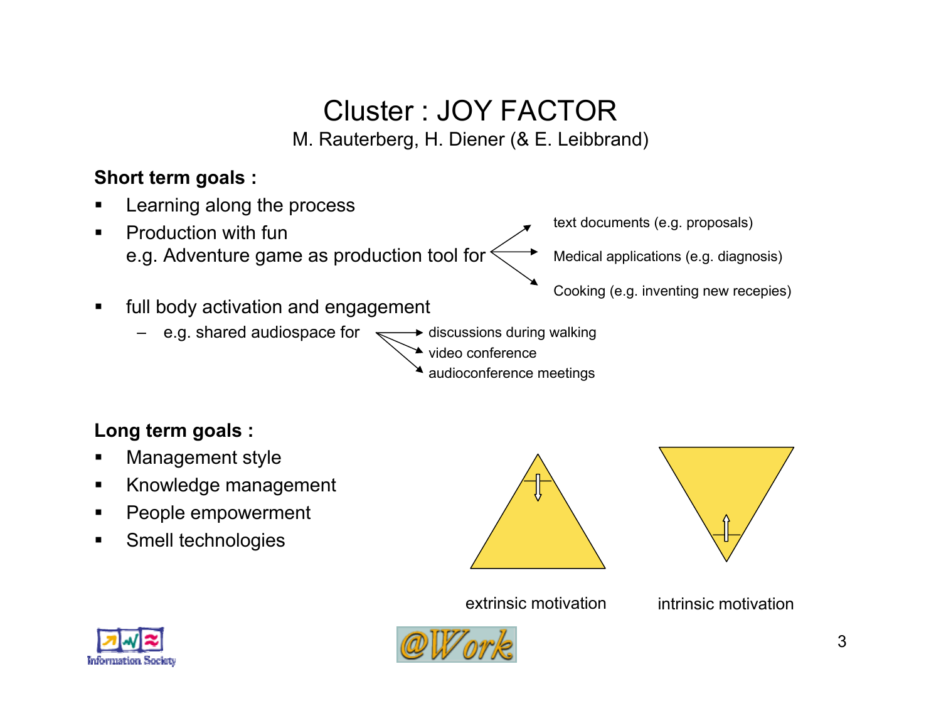### Cluster : JOY FACTOR M. Rauterberg, H. Diener (& E. Leibbrand)

**Short term goals :** 

- Learning along the process
- $\blacksquare$  Production with fune.g. Adventure game as production tool for
- text documents (e.g. proposals)

Medical applications (e.g. diagnosis)

Cooking (e.g. inventing new recepies)

- $\blacksquare$  full body activation and engagement
	- e.g. shared audiospace for  $\approx$  $\rightarrow$  discussions during walking
		- video conference
			- audioconference meetings

### **Long term goals :**

- П Management style
- $\blacksquare$ Knowledge management
- $\blacksquare$ People empowerment
- $\blacksquare$ Smell technologies





extrinsic motivation





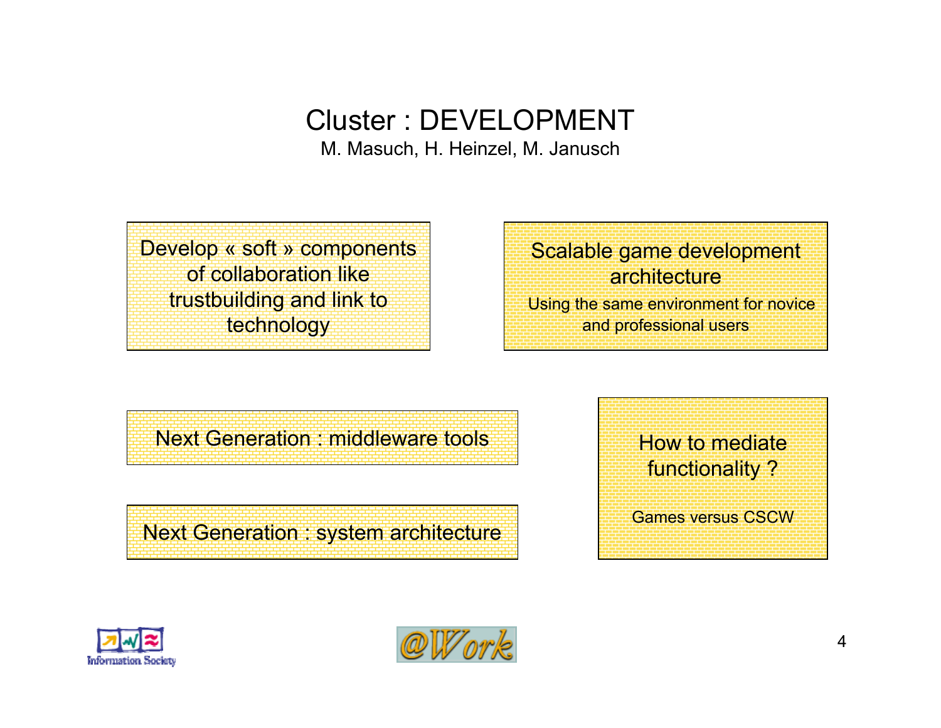### Cluster : DEVELOPMENT

M. Masuch, H. Heinzel, M. Janusch

Develop « soft » components of collaboration liketrustbuilding and link to technology

Scalable game development **architecture** Using the same environment for novice and professional users

Next Generation : middleware tools

Next Generation : system architecture

 How to mediatefunctionality ? Games versus CSCW



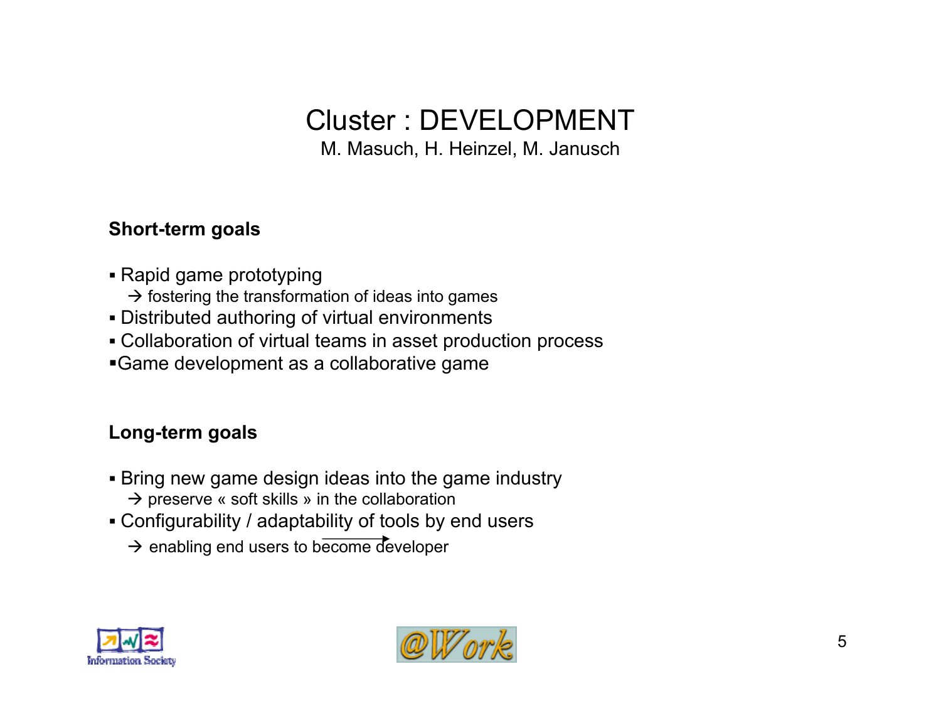# Cluster : DEVELOPMENT

M. Masuch, H. Heinzel, M. Janusch

#### **Short-term goals**

- Rapid game prototyping
	- $\rightarrow$  fostering the transformation of ideas into games
- Distributed authoring of virtual environments
- Collaboration of virtual teams in asset production process
- Game development as a collaborative game

#### **Long-term goals**

- Bring new game design ideas into the game industry
	- $\rightarrow$  preserve « soft skills » in the collaboration
- Configurability / adaptability of tools by end users
	- $\rightarrow$  enabling end users to become developer



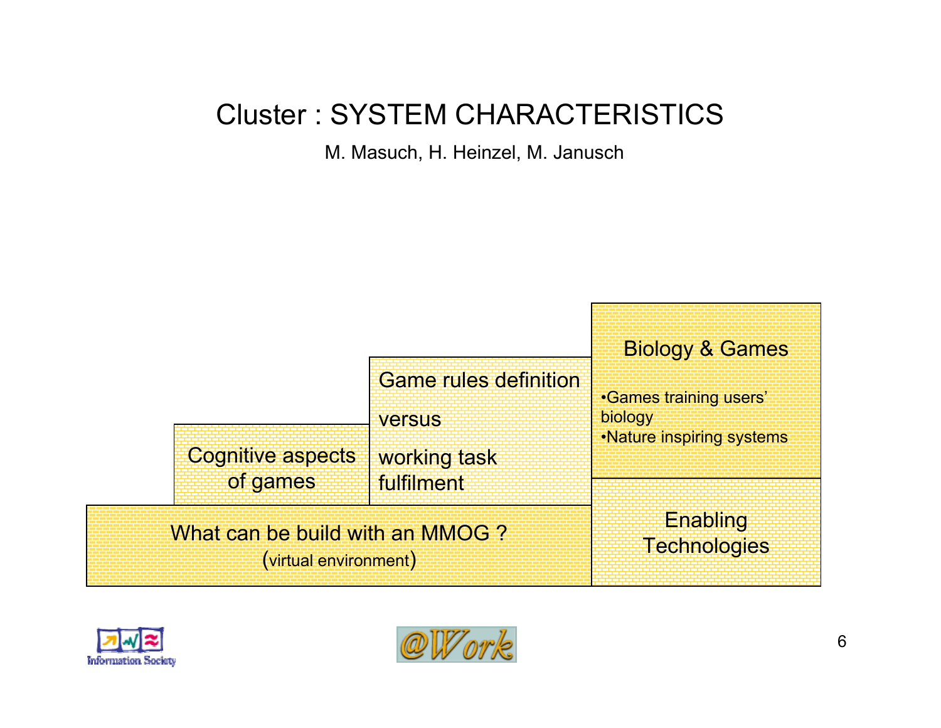### Cluster : SYSTEM CHARACTERISTICS

M. Masuch, H. Heinzel, M. Janusch

|                                                          |                                               | <b>Biology &amp; Games</b>               |
|----------------------------------------------------------|-----------------------------------------------|------------------------------------------|
|                                                          | <b>Game rules definition</b><br><b>Versus</b> | <b>•Games training users'</b><br>biology |
| <b>Cognitive aspects</b><br>of games                     | working task<br>fulfilment                    | •Nature inspiring systems                |
| What can be build with an MMOG?<br>(virtual environment) |                                               | Enabling<br>Technologies                 |



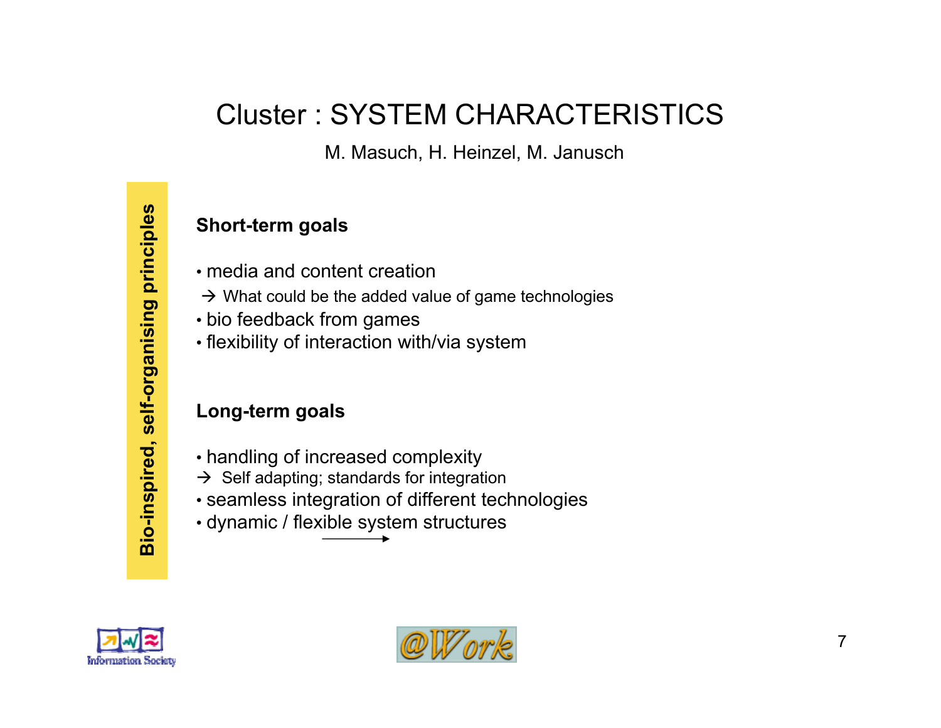### Cluster : SYSTEM CHARACTERISTICS

M. Masuch, H. Heinzel, M. Janusch

#### **Short-term goals**

- media and content creation
- $\rightarrow$  What could be the added value of game technologies
- bio feedback from games
- flexibility of interaction with/via system

#### **Long-term goals**

- handling of increased complexity
- $\rightarrow$  Self adapting; standards for integration
- seamless integration of different technologies
- dynamic / flexible system structures



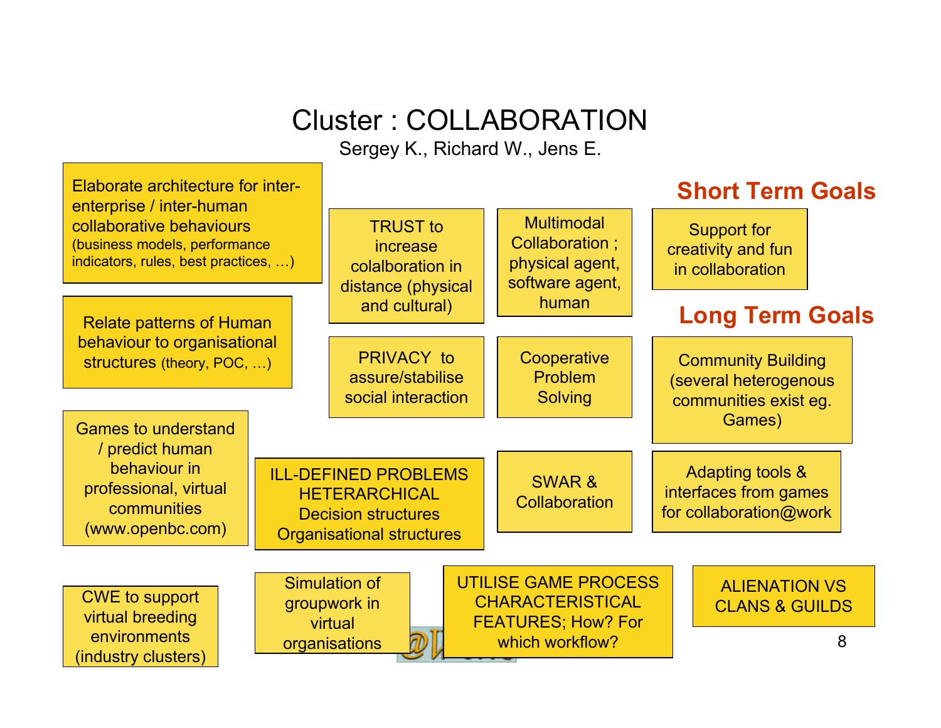## Cluster : COLLABORATION

Sergey K., Richard W., Jens E.

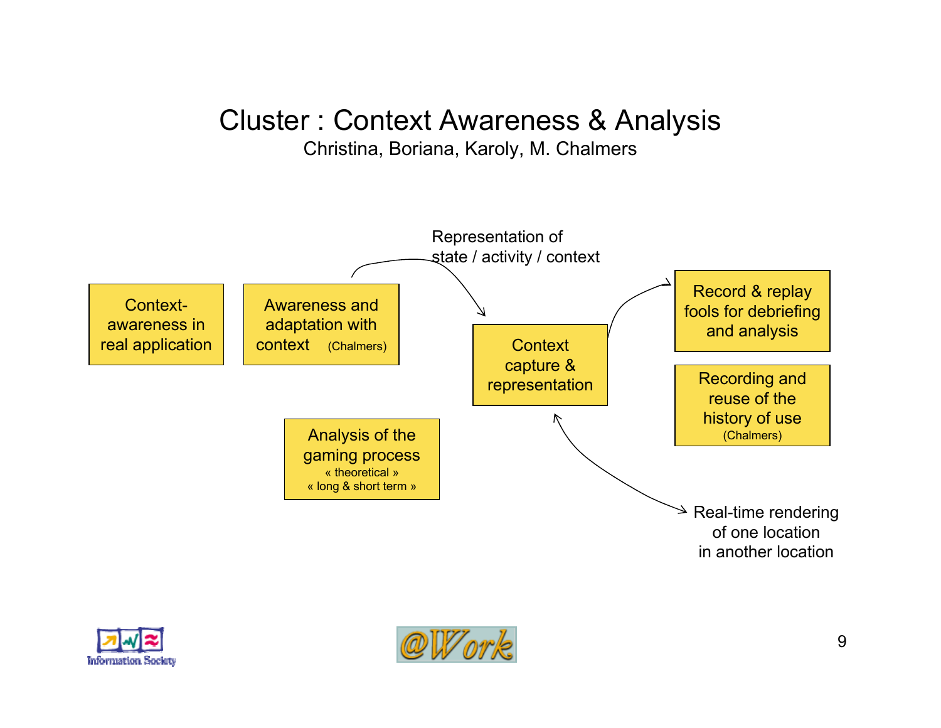### Cluster : Context Awareness & Analysis

#### Christina, Boriana, Karoly, M. Chalmers